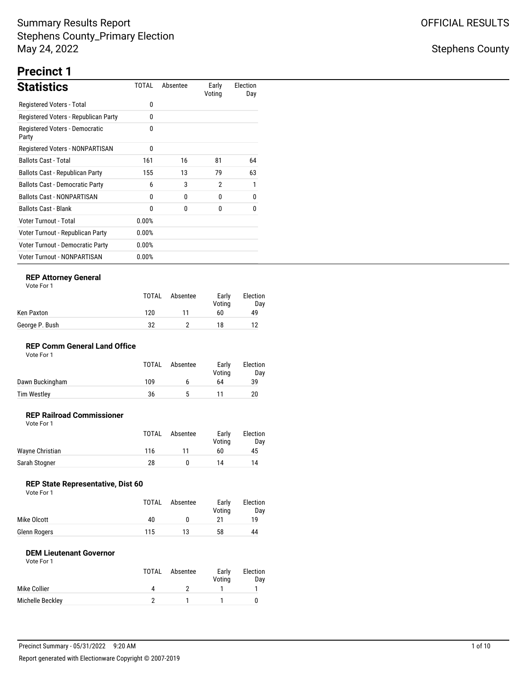## Stephens County

# **Precinct 1**

| <b>Statistics</b>                       | TOTAL    | Absentee | Early<br>Voting | Election<br>Day |
|-----------------------------------------|----------|----------|-----------------|-----------------|
| Registered Voters - Total               | 0        |          |                 |                 |
| Registered Voters - Republican Party    | 0        |          |                 |                 |
| Registered Voters - Democratic<br>Party | 0        |          |                 |                 |
| Registered Voters - NONPARTISAN         | $\Omega$ |          |                 |                 |
| <b>Ballots Cast - Total</b>             | 161      | 16       | 81              | 64              |
| Ballots Cast - Republican Party         | 155      | 13       | 79              | 63              |
| <b>Ballots Cast - Democratic Party</b>  | 6        | 3        | $\overline{2}$  | 1               |
| <b>Ballots Cast - NONPARTISAN</b>       | 0        | 0        | 0               | 0               |
| <b>Ballots Cast - Blank</b>             | 0        | 0        | 0               | 0               |
| Voter Turnout - Total                   | 0.00%    |          |                 |                 |
| Voter Turnout - Republican Party        | $0.00\%$ |          |                 |                 |
| Voter Turnout - Democratic Party        | 0.00%    |          |                 |                 |
| <b>Voter Turnout - NONPARTISAN</b>      | 0.00%    |          |                 |                 |

### **REP Attorney General**

| Vote For |  |
|----------|--|
|          |  |

|                | <b>TOTAL</b> | Absentee | Early<br>Votina | Election<br>Dav |
|----------------|--------------|----------|-----------------|-----------------|
| Ken Paxton     | 120          |          | 60              | 49              |
| George P. Bush | 32           |          | 18              | 19              |

### **REP Comm General Land Office**

| Vote For 1 |  |
|------------|--|
|------------|--|

|                 | <b>TOTAL</b> | Absentee | Early<br>Votina | Election<br>Day |
|-----------------|--------------|----------|-----------------|-----------------|
| Dawn Buckingham | 109          |          | 64              | 39              |
| Tim Westley     | 36           |          |                 | 20              |

#### **REP Railroad Commissioner** Vote For 1

|                 | TOTAL | Absentee | Early<br>Votina | Election<br>Day |
|-----------------|-------|----------|-----------------|-----------------|
| Wayne Christian | 116   | 11       | 60              | 45              |
| Sarah Stogner   | 28    |          | 14              | 14              |

## **REP State Representative, Dist 60**

| Vote For 1 |  |
|------------|--|
|------------|--|

|              | TOTAL | Absentee | Early<br>Votina | Election<br>Day |
|--------------|-------|----------|-----------------|-----------------|
| Mike Olcott  | 40    |          |                 | 10              |
| Glenn Rogers | 115   | 13       | 58              | 44              |

### **DEM Lieutenant Governor**

|                  | TOTAL | Absentee | Early<br>Voting | Election<br>Day |
|------------------|-------|----------|-----------------|-----------------|
| Mike Collier     | 4     |          |                 |                 |
| Michelle Beckley |       |          |                 |                 |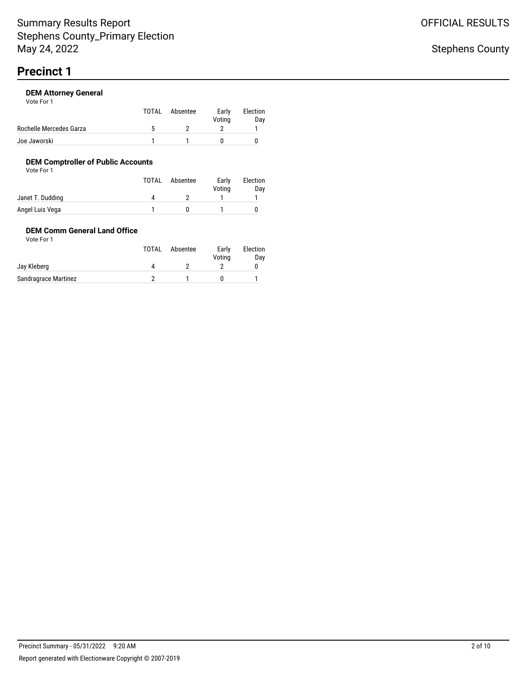| Vote For 1              |              |          |                 |                 |
|-------------------------|--------------|----------|-----------------|-----------------|
|                         | TOTAL        | Absentee | Early<br>Voting | Election<br>Day |
| Rochelle Mercedes Garza | $\mathbf{h}$ |          |                 |                 |
| Joe Jaworski            |              |          |                 |                 |

## **DEM Comptroller of Public Accounts**

Vote For 1

|                  | <b>TOTAL</b> | Absentee | Early<br>Voting | Election<br>Day |
|------------------|--------------|----------|-----------------|-----------------|
| Janet T. Dudding | 4            |          |                 |                 |
| Angel Luis Vega  |              |          |                 |                 |

### **DEM Comm General Land Office** Vote For 1

|                      | TOTAL | Absentee | Early<br>Voting | Election<br>Day |
|----------------------|-------|----------|-----------------|-----------------|
| Jay Kleberg          |       |          |                 |                 |
| Sandragrace Martinez |       |          |                 |                 |

OFFICIAL RESULTS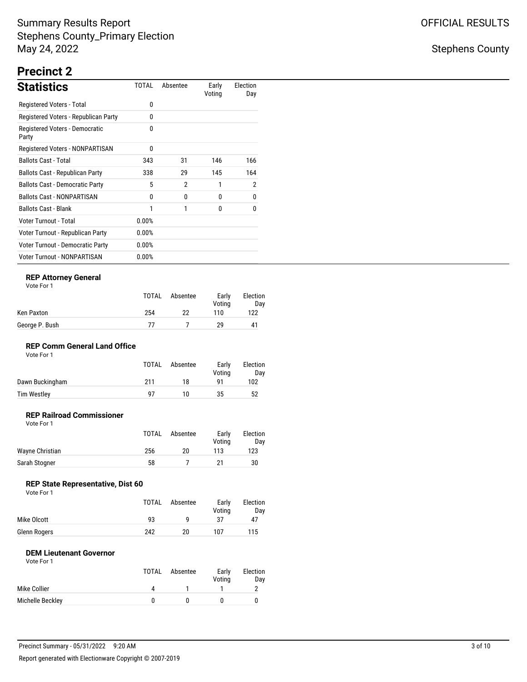## Stephens County

# **Precinct 2**

| <b>Statistics</b>                       | TOTAL    | Absentee | Early<br>Voting | Election<br>Day |
|-----------------------------------------|----------|----------|-----------------|-----------------|
| Registered Voters - Total               | 0        |          |                 |                 |
| Registered Voters - Republican Party    | 0        |          |                 |                 |
| Registered Voters - Democratic<br>Party | 0        |          |                 |                 |
| Registered Voters - NONPARTISAN         | 0        |          |                 |                 |
| <b>Ballots Cast - Total</b>             | 343      | 31       | 146             | 166             |
| Ballots Cast - Republican Party         | 338      | 29       | 145             | 164             |
| <b>Ballots Cast - Democratic Party</b>  | 5        | 2        | 1               | 2               |
| <b>Ballots Cast - NONPARTISAN</b>       | 0        | 0        | 0               | 0               |
| <b>Ballots Cast - Blank</b>             | 1        | 1        | $\theta$        | 0               |
| Voter Turnout - Total                   | 0.00%    |          |                 |                 |
| Voter Turnout - Republican Party        | 0.00%    |          |                 |                 |
| Voter Turnout - Democratic Party        | $0.00\%$ |          |                 |                 |
| <b>Voter Turnout - NONPARTISAN</b>      | 0.00%    |          |                 |                 |

### **REP Attorney General**

| Vote For |  |
|----------|--|
|          |  |

|                | TOTAL | Absentee | Early<br>Votina | Election<br>Dav |
|----------------|-------|----------|-----------------|-----------------|
| Ken Paxton     | 254   | 22       | 110             | 122             |
| George P. Bush | 77    |          | 29              | 41              |

## **REP Comm General Land Office**

|                 | <b>TOTAL</b> | Absentee | Early<br>Votina | Election<br>Dav |
|-----------------|--------------|----------|-----------------|-----------------|
| Dawn Buckingham | 211          | 18       | Q1              | 102             |
| Tim Westley     | 97           | 10       | 35              | 52              |

#### **REP Railroad Commissioner** Vote For 1

|                 | <b>TOTAL</b> | Absentee | Early<br>Votina | Election<br>Dav |
|-----------------|--------------|----------|-----------------|-----------------|
| Wayne Christian | 256          | 20       | 113             | 123             |
| Sarah Stogner   | 58           |          | 21              | 30              |

## **REP State Representative, Dist 60**

| Vote For 1 |  |  |
|------------|--|--|
|------------|--|--|

|              | TOTAL | Absentee | Early<br>Votina | Election<br>Day |
|--------------|-------|----------|-----------------|-----------------|
| Mike Olcott  | 93    |          |                 | 47              |
| Glenn Rogers | 242   | 20       | 107             | 115             |

### **DEM Lieutenant Governor**

|                  | TOTAL     | Absentee | Early<br>Voting | Election<br>Day |
|------------------|-----------|----------|-----------------|-----------------|
| Mike Collier     | $\Lambda$ |          |                 |                 |
| Michelle Beckley |           |          |                 |                 |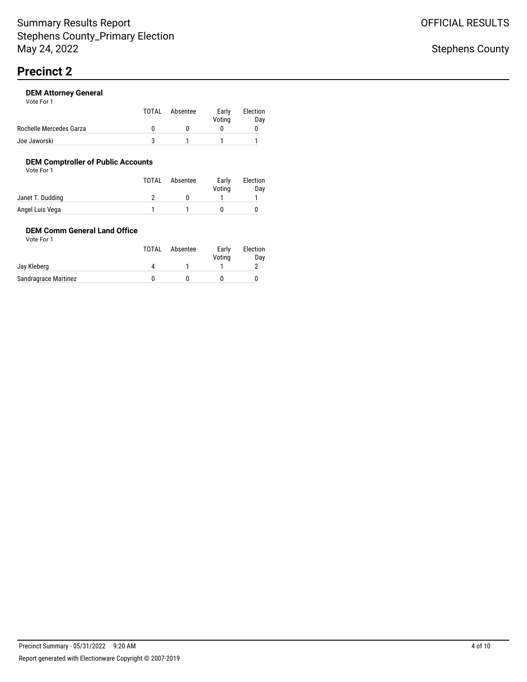| Vote For 1              |       |          |                 |                 |
|-------------------------|-------|----------|-----------------|-----------------|
|                         | TOTAL | Absentee | Early<br>Voting | Election<br>Day |
| Rochelle Mercedes Garza |       |          |                 |                 |
| Joe Jaworski            | ີ     |          |                 |                 |

## **DEM Comptroller of Public Accounts**

Vote For 1

|                  | TOTAL | Absentee | Early<br>Voting | Election<br>Day |
|------------------|-------|----------|-----------------|-----------------|
| Janet T. Dudding |       |          |                 |                 |
| Angel Luis Vega  |       |          |                 |                 |

### **DEM Comm General Land Office** Vote For 1

|                      | TOTAL | Absentee | Early<br>Voting | Election<br>Day |
|----------------------|-------|----------|-----------------|-----------------|
| Jay Kleberg          |       |          |                 |                 |
| Sandragrace Martinez |       |          |                 |                 |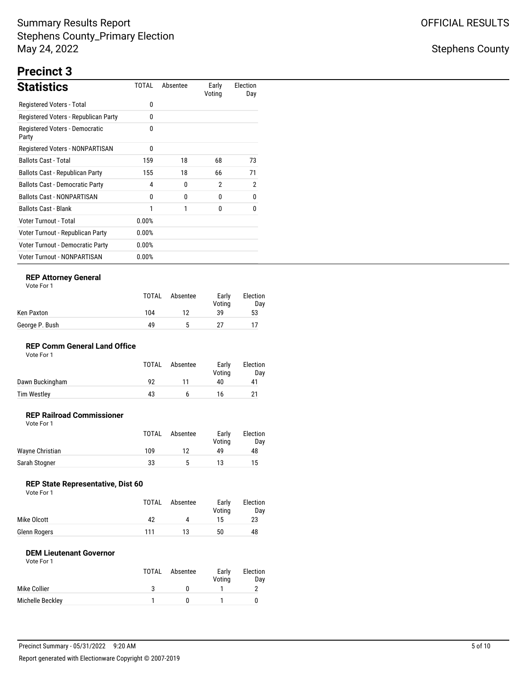## Stephens County

# **Precinct 3**

| <b>Statistics</b>                       | TOTAL    | Absentee | Early<br>Voting | Election<br>Day |
|-----------------------------------------|----------|----------|-----------------|-----------------|
| Registered Voters - Total               | 0        |          |                 |                 |
| Registered Voters - Republican Party    | 0        |          |                 |                 |
| Registered Voters - Democratic<br>Party | 0        |          |                 |                 |
| Registered Voters - NONPARTISAN         | 0        |          |                 |                 |
| <b>Ballots Cast - Total</b>             | 159      | 18       | 68              | 73              |
| Ballots Cast - Republican Party         | 155      | 18       | 66              | 71              |
| <b>Ballots Cast - Democratic Party</b>  | 4        | 0        | $\overline{2}$  | $\overline{2}$  |
| <b>Ballots Cast - NONPARTISAN</b>       | 0        | 0        | 0               | 0               |
| <b>Ballots Cast - Blank</b>             | 1        | 1        | <sup>0</sup>    | 0               |
| Voter Turnout - Total                   | 0.00%    |          |                 |                 |
| Voter Turnout - Republican Party        | 0.00%    |          |                 |                 |
| Voter Turnout - Democratic Party        | $0.00\%$ |          |                 |                 |
| <b>Voter Turnout - NONPARTISAN</b>      | 0.00%    |          |                 |                 |

### **REP Attorney General**

| Vote For |
|----------|
|----------|

|                | TOTAL | Absentee | Early<br>Votina | Election<br>Dav |
|----------------|-------|----------|-----------------|-----------------|
| Ken Paxton     | 104   | 12       | 39              | 53              |
| George P. Bush | 49    | ь        |                 |                 |

## **REP Comm General Land Office**

| Vote For 1 |  |
|------------|--|
|------------|--|

|                    | <b>TOTAL</b> | Absentee | Early<br>Votina | Election<br>Dav |
|--------------------|--------------|----------|-----------------|-----------------|
| Dawn Buckingham    | 92           |          | 40              | 41              |
| <b>Tim Westley</b> | 43           |          | 16              | 21              |

#### **REP Railroad Commissioner** Vote For 1

|                 | <b>TOTAL</b> | Absentee | Early<br>Votina | Election<br>Day |
|-----------------|--------------|----------|-----------------|-----------------|
| Wayne Christian | 109          | 12       | 49              | 48              |
| Sarah Stogner   | 33           | ъ        | 13              | 15              |

## **REP State Representative, Dist 60**

|              | TOTAL | Absentee | Early<br>Votina | Election<br>Day |
|--------------|-------|----------|-----------------|-----------------|
| Mike Olcott  | 42    |          | 15              | 23              |
| Glenn Rogers | 111   | 13       | 50              | 48              |

### **DEM Lieutenant Governor**

|                  | <b>TOTAL</b> | Absentee | Early<br>Voting | Election<br>Day |
|------------------|--------------|----------|-----------------|-----------------|
| Mike Collier     |              |          |                 |                 |
| Michelle Beckley |              |          |                 |                 |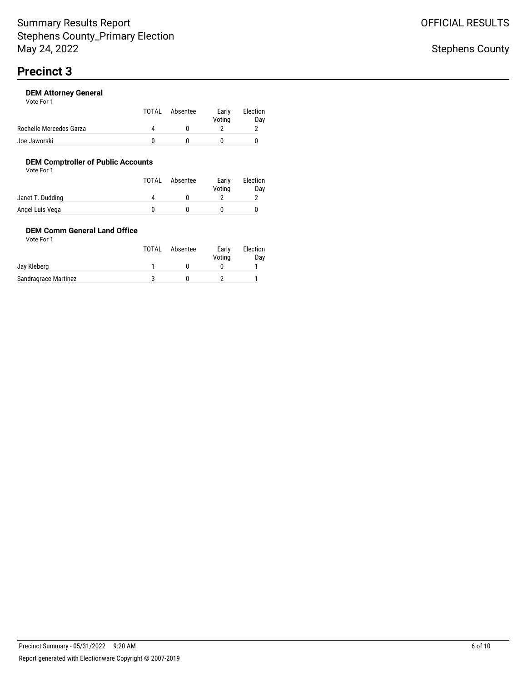| Vote For 1              |           |          |                 |                 |
|-------------------------|-----------|----------|-----------------|-----------------|
|                         | TOTAL     | Absentee | Early<br>Voting | Election<br>Day |
| Rochelle Mercedes Garza | $\Lambda$ |          |                 |                 |
| Joe Jaworski            |           |          |                 |                 |

## **DEM Comptroller of Public Accounts**

Vote For 1

|                  | TOTAL | Absentee | Early<br>Voting | Election<br>Day |
|------------------|-------|----------|-----------------|-----------------|
| Janet T. Dudding | 4     |          |                 |                 |
| Angel Luis Vega  |       |          |                 |                 |

### **DEM Comm General Land Office** Vote For 1

|                      | TOTAL | Absentee | Early<br>Voting | Election<br>Day |
|----------------------|-------|----------|-----------------|-----------------|
| Jay Kleberg          |       |          |                 |                 |
| Sandragrace Martinez |       |          |                 |                 |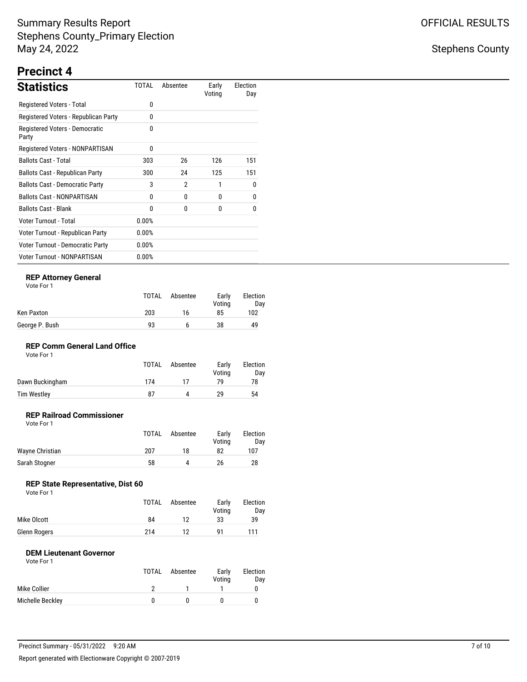## Stephens County

# **Precinct 4**

| <b>Statistics</b>                       | TOTAL    | Absentee       | Early<br>Voting | Election<br>Day |
|-----------------------------------------|----------|----------------|-----------------|-----------------|
| Registered Voters - Total               | 0        |                |                 |                 |
| Registered Voters - Republican Party    | 0        |                |                 |                 |
| Registered Voters - Democratic<br>Party | 0        |                |                 |                 |
| Registered Voters - NONPARTISAN         | 0        |                |                 |                 |
| <b>Ballots Cast - Total</b>             | 303      | 26             | 126             | 151             |
| Ballots Cast - Republican Party         | 300      | 24             | 125             | 151             |
| <b>Ballots Cast - Democratic Party</b>  | 3        | $\overline{2}$ | 1               | 0               |
| <b>Ballots Cast - NONPARTISAN</b>       | 0        | 0              | 0               | 0               |
| <b>Ballots Cast - Blank</b>             | 0        | 0              | 0               | 0               |
| Voter Turnout - Total                   | 0.00%    |                |                 |                 |
| Voter Turnout - Republican Party        | 0.00%    |                |                 |                 |
| Voter Turnout - Democratic Party        | $0.00\%$ |                |                 |                 |
| <b>Voter Turnout - NONPARTISAN</b>      | 0.00%    |                |                 |                 |

### **REP Attorney General**

| Vote For |  |
|----------|--|
|          |  |

|                | <b>TOTAL</b> | Absentee | Early<br>Votina | Election<br>Dav |
|----------------|--------------|----------|-----------------|-----------------|
| Ken Paxton     | 203          | 16       | 85              | 102             |
| George P. Bush | 93           |          | 38              | 49              |

### **REP Comm General Land Office**

| Vote For 1 |  |
|------------|--|
|------------|--|

|                    | <b>TOTAL</b> | Absentee | Early<br>Votina | Election<br>Day |
|--------------------|--------------|----------|-----------------|-----------------|
| Dawn Buckingham    | 174          | 17       | 70              | 78              |
| <b>Tim Westley</b> | 87           |          | 29              | 54              |

#### **REP Railroad Commissioner** Vote For 1

| .               | TOTAL | Absentee | Early<br>Votina | Election<br>Day |
|-----------------|-------|----------|-----------------|-----------------|
| Wayne Christian | 207   | 18       | 82              | 107             |
| Sarah Stogner   | 58    |          | 26              | 28              |

## **REP State Representative, Dist 60**

| Vote For 1 |  |  |
|------------|--|--|
|------------|--|--|

|              | <b>TOTAL</b> | Absentee | Early<br>Votina | Election<br>Day |
|--------------|--------------|----------|-----------------|-----------------|
| Mike Olcott  | 84           |          | 33              | 39              |
| Glenn Rogers | 214          |          |                 | 111             |

### **DEM Lieutenant Governor**

|                  | TOTAL | Absentee | Early<br>Voting | Election<br>Day |
|------------------|-------|----------|-----------------|-----------------|
| Mike Collier     |       |          |                 |                 |
| Michelle Beckley |       |          |                 |                 |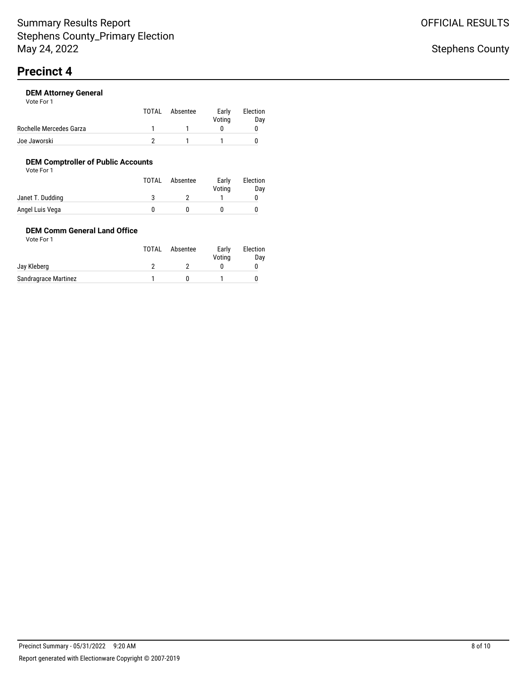| Vote For 1              |       |          |                 |                 |
|-------------------------|-------|----------|-----------------|-----------------|
|                         | TOTAL | Absentee | Early<br>Voting | Election<br>Day |
| Rochelle Mercedes Garza |       |          |                 |                 |
| Joe Jaworski            |       |          |                 |                 |

## **DEM Comptroller of Public Accounts**

Vote For 1

|                  | TOTAL | Absentee | Early<br>Voting | Election<br>Day |
|------------------|-------|----------|-----------------|-----------------|
| Janet T. Dudding |       |          |                 |                 |
| Angel Luis Vega  |       |          |                 |                 |

### **DEM Comm General Land Office** Vote For 1

|                      | TOTAL | Absentee | Early<br>Votina | Election<br>Day |
|----------------------|-------|----------|-----------------|-----------------|
| Jay Kleberg          |       |          |                 |                 |
| Sandragrace Martinez |       |          |                 |                 |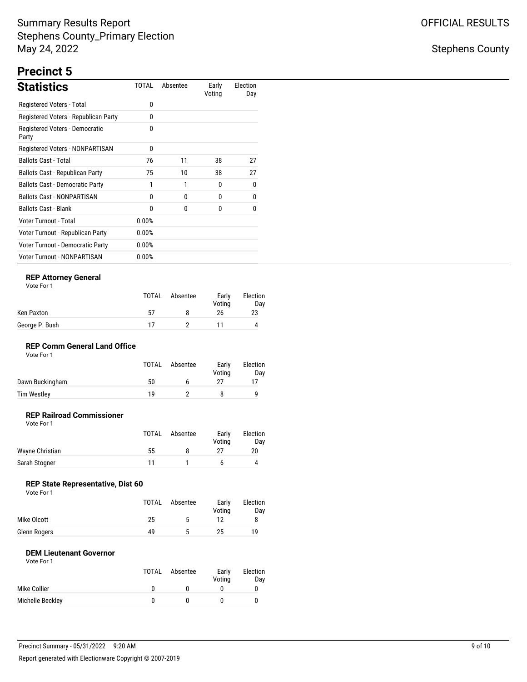## Stephens County

# **Precinct 5**

| <b>Statistics</b>                       | TOTAL    | Absentee | Early<br>Voting | Election<br>Day |
|-----------------------------------------|----------|----------|-----------------|-----------------|
| Registered Voters - Total               | 0        |          |                 |                 |
| Registered Voters - Republican Party    | 0        |          |                 |                 |
| Registered Voters - Democratic<br>Party | $\Omega$ |          |                 |                 |
| Registered Voters - NONPARTISAN         | 0        |          |                 |                 |
| <b>Ballots Cast - Total</b>             | 76       | 11       | 38              | 27              |
| Ballots Cast - Republican Party         | 75       | 10       | 38              | 27              |
| <b>Ballots Cast - Democratic Party</b>  | 1        | 1        | 0               | 0               |
| <b>Ballots Cast - NONPARTISAN</b>       | 0        | 0        | 0               | 0               |
| <b>Ballots Cast - Blank</b>             | 0        | 0        | 0               | 0               |
| Voter Turnout - Total                   | 0.00%    |          |                 |                 |
| Voter Turnout - Republican Party        | 0.00%    |          |                 |                 |
| Voter Turnout - Democratic Party        | 0.00%    |          |                 |                 |
| <b>Voter Turnout - NONPARTISAN</b>      | 0.00%    |          |                 |                 |

### **REP Attorney General**

| Vote For |  |
|----------|--|
|          |  |

|                | <b>TOTAL</b> | Absentee | Early<br>Votina | Election<br>Day |
|----------------|--------------|----------|-----------------|-----------------|
| Ken Paxton     | 57           |          | 26              | 23              |
| George P. Bush | 17           |          |                 |                 |

### **REP Comm General Land Office**

| Vote For 1 |  |
|------------|--|
|------------|--|

|                 | <b>TOTAL</b> | Absentee | Early<br>Votina | Election<br>Dav |
|-----------------|--------------|----------|-----------------|-----------------|
| Dawn Buckingham | 50           |          |                 |                 |
| Tim Westley     | 1 Q          |          |                 |                 |

#### **REP Railroad Commissioner** Vote For 1

|                 | TOTAL | Absentee | Early<br>Votina | Election<br>Day |
|-----------------|-------|----------|-----------------|-----------------|
| Wayne Christian | 55    |          |                 | 20              |
| Sarah Stogner   | 11    |          |                 | 4               |

## **REP State Representative, Dist 60**

| Vote For 1 |  |  |
|------------|--|--|
|------------|--|--|

|              | TOTAL | Absentee | Early<br>Votina | Election<br>Day |
|--------------|-------|----------|-----------------|-----------------|
| Mike Olcott  | 25    | ь        |                 |                 |
| Glenn Rogers | 49    | ∽        | 25.             | 19              |

### **DEM Lieutenant Governor**

|                  | TOTAL | Absentee | Early<br>Voting | Election<br>Day |
|------------------|-------|----------|-----------------|-----------------|
| Mike Collier     |       |          |                 |                 |
| Michelle Beckley |       |          |                 |                 |